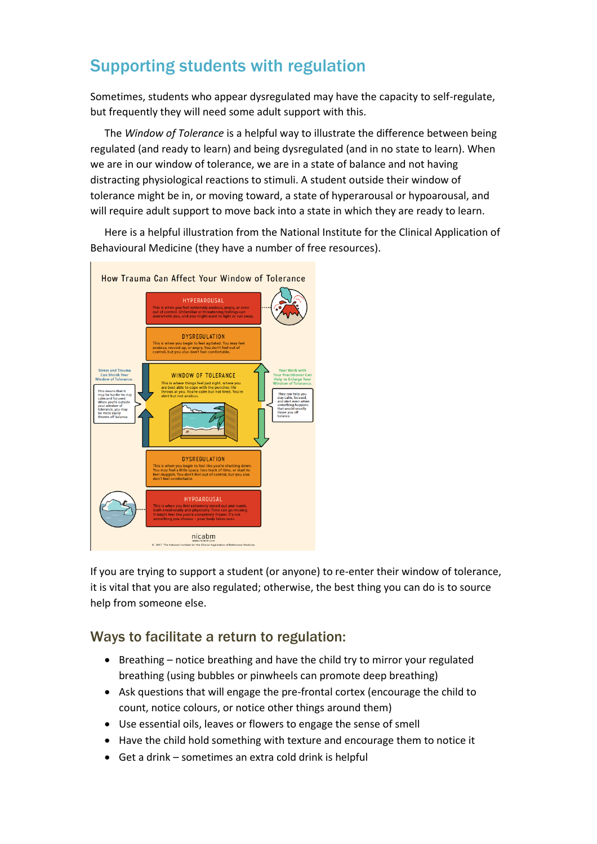## Supporting students with regulation

Sometimes, students who appear dysregulated may have the capacity to self-regulate, but frequently they will need some adult support with this.

The *Window of Tolerance* is a helpful way to illustrate the difference between being regulated (and ready to learn) and being dysregulated (and in no state to learn). When we are in our window of tolerance, we are in a state of balance and not having distracting physiological reactions to stimuli. A student outside their window of tolerance might be in, or moving toward, a state of hyperarousal or hypoarousal, and will require adult support to move back into a state in which they are ready to learn.

Here is a helpful illustration from the National Institute for the Clinical Application of Behavioural Medicine (they have a number of free resources).



If you are trying to support a student (or anyone) to re-enter their window of tolerance, it is vital that you are also regulated; otherwise, the best thing you can do is to source help from someone else.

## Ways to facilitate a return to regulation:

- Breathing notice breathing and have the child try to mirror your regulated breathing (using bubbles or pinwheels can promote deep breathing)
- Ask questions that will engage the pre-frontal cortex (encourage the child to count, notice colours, or notice other things around them)
- Use essential oils, leaves or flowers to engage the sense of smell
- Have the child hold something with texture and encourage them to notice it
- Get a drink sometimes an extra cold drink is helpful